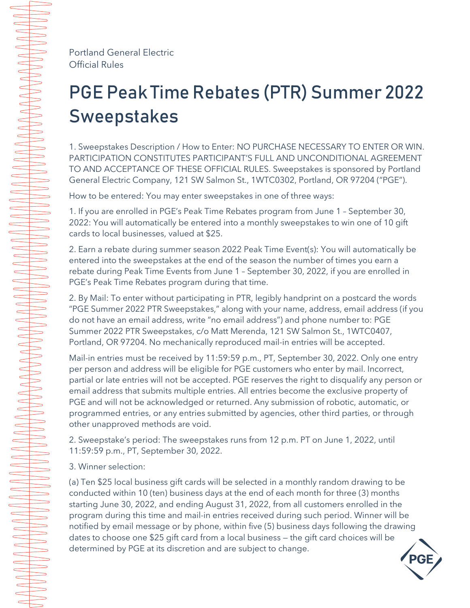Portland General Electric Official Rules

## PGE Peak Time Rebates (PTR) Summer 2022 Sweepstakes

1. Sweepstakes Description / How to Enter: NO PURCHASE NECESSARY TO ENTER OR WIN. PARTICIPATION CONSTITUTES PARTICIPANT'S FULL AND UNCONDITIONAL AGREEMENT TO AND ACCEPTANCE OF THESE OFFICIAL RULES. Sweepstakes is sponsored by Portland General Electric Company, 121 SW Salmon St., 1WTC0302, Portland, OR 97204 ("PGE").

How to be entered: You may enter sweepstakes in one of three ways:

1. If you are enrolled in PGE's Peak Time Rebates program from June 1 – September 30, 2022: You will automatically be entered into a monthly sweepstakes to win one of 10 gift cards to local businesses, valued at \$25.

2. Earn a rebate during summer season 2022 Peak Time Event(s): You will automatically be entered into the sweepstakes at the end of the season the number of times you earn a rebate during Peak Time Events from June 1 – September 30, 2022, if you are enrolled in PGE's Peak Time Rebates program during that time.

2. By Mail: To enter without participating in PTR, legibly handprint on a postcard the words "PGE Summer 2022 PTR Sweepstakes," along with your name, address, email address (if you do not have an email address, write "no email address") and phone number to: PGE Summer 2022 PTR Sweepstakes, c/o Matt Merenda, 121 SW Salmon St., 1WTC0407, Portland, OR 97204. No mechanically reproduced mail-in entries will be accepted.

Mail-in entries must be received by 11:59:59 p.m., PT, September 30, 2022. Only one entry per person and address will be eligible for PGE customers who enter by mail. Incorrect, partial or late entries will not be accepted. PGE reserves the right to disqualify any person or email address that submits multiple entries. All entries become the exclusive property of PGE and will not be acknowledged or returned. Any submission of robotic, automatic, or programmed entries, or any entries submitted by agencies, other third parties, or through other unapproved methods are void.

2. Sweepstake's period: The sweepstakes runs from 12 p.m. PT on June 1, 2022, until 11:59:59 p.m., PT, September 30, 2022.

3. Winner selection:

(a) Ten \$25 local business gift cards will be selected in a monthly random drawing to be conducted within 10 (ten) business days at the end of each month for three (3) months starting June 30, 2022, and ending August 31, 2022, from all customers enrolled in the program during this time and mail-in entries received during such period. Winner will be notified by email message or by phone, within five (5) business days following the drawing dates to choose one \$25 gift card from a local business — the gift card choices will be determined by PGE at its discretion and are subject to change.

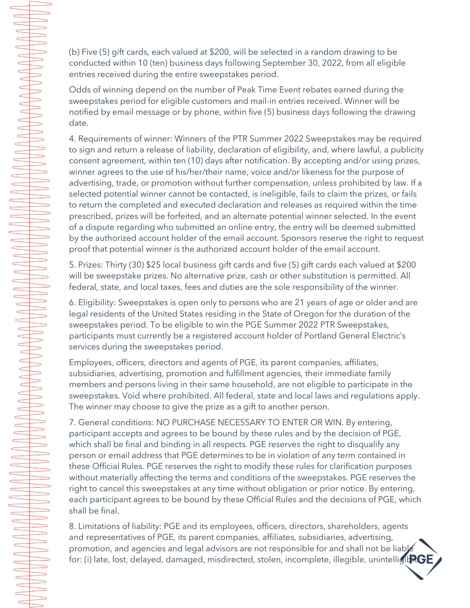(b) Five (5) gift cards, each valued at \$200, will be selected in a random drawing to be conducted within 10 (ten) business days following September 30, 2022, from all eligible entries received during the entire sweepstakes period.

Odds of winning depend on the number of Peak Time Event rebates earned during the sweepstakes period for eligible customers and mail-in entries received. Winner will be notified by email message or by phone, within five (5) business days following the drawing date.

AAAAAAAAAAAAAA

 $\implies$ 

 $\implies$ 

 $\Rightarrow$ 

 $\Rightarrow$ 

 $\Rightarrow$ 

 $\overbrace{\phantom{1232211}}$ 

 $\subset$  $\begin{array}{c}\n\hline\n\end{array}$  $\begin{array}{c}\n\end{array}$  $\overline{\phantom{0}}$ 

 $\begin{array}{c}\n\hline\n\end{array}$  $\overbrace{\phantom{aaaaa}}$  $\overbrace{\phantom{aaaaa}}$ 

 $\overline{\phantom{0}}$ 

 $\overline{\phantom{0}}$  4. Requirements of winner: Winners of the PTR Summer 2022 Sweepstakes may be required to sign and return a release of liability, declaration of eligibility, and, where lawful, a publicity consent agreement, within ten (10) days after notification. By accepting and/or using prizes, winner agrees to the use of his/her/their name, voice and/or likeness for the purpose of advertising, trade, or promotion without further compensation, unless prohibited by law. If a selected potential winner cannot be contacted, is ineligible, fails to claim the prizes, or fails to return the completed and executed declaration and releases as required within the time prescribed, prizes will be forfeited, and an alternate potential winner selected. In the event of a dispute regarding who submitted an online entry, the entry will be deemed submitted by the authorized account holder of the email account. Sponsors reserve the right to request proof that potential winner is the authorized account holder of the email account.

5. Prizes: Thirty (30) \$25 local business gift cards and five (5) gift cards each valued at \$200 will be sweepstake prizes. No alternative prize, cash or other substitution is permitted. All federal, state, and local taxes, fees and duties are the sole responsibility of the winner.

6. Eligibility: Sweepstakes is open only to persons who are 21 years of age or older and are legal residents of the United States residing in the State of Oregon for the duration of the sweepstakes period. To be eligible to win the PGE Summer 2022 PTR Sweepstakes, participants must currently be a registered account holder of Portland General Electric's services during the sweepstakes period.

Employees, officers, directors and agents of PGE, its parent companies, affiliates, subsidiaries, advertising, promotion and fulfillment agencies, their immediate family members and persons living in their same household, are not eligible to participate in the sweepstakes. Void where prohibited. All federal, state and local laws and regulations apply. The winner may choose to give the prize as a gift to another person.

7. General conditions: NO PURCHASE NECESSARY TO ENTER OR WIN. By entering, participant accepts and agrees to be bound by these rules and by the decision of PGE, which shall be final and binding in all respects. PGE reserves the right to disqualify any person or email address that PGE determines to be in violation of any term contained in these Official Rules. PGE reserves the right to modify these rules for clarification purposes without materially affecting the terms and conditions of the sweepstakes. PGE reserves the right to cancel this sweepstakes at any time without obligation or prior notice. By entering, each participant agrees to be bound by these Official Rules and the decisions of PGE, which shall be final.

8. Limitations of liability: PGE and its employees, officers, directors, shareholders, agents and representatives of PGE, its parent companies, affiliates, subsidiaries, advertising, promotion, and agencies and legal advisors are not responsible for and shall not be liable for: (i) late, lost, delayed, damaged, misdirected, stolen, incomplete, illegible, unintelligit **RGE**